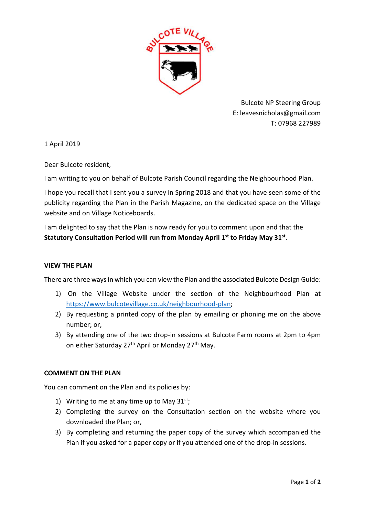

Bulcote NP Steering Group E: leavesnicholas@gmail.com T: 07968 227989

1 April 2019

Dear Bulcote resident,

I am writing to you on behalf of Bulcote Parish Council regarding the Neighbourhood Plan.

I hope you recall that I sent you a survey in Spring 2018 and that you have seen some of the publicity regarding the Plan in the Parish Magazine, on the dedicated space on the Village website and on Village Noticeboards.

I am delighted to say that the Plan is now ready for you to comment upon and that the Statutory Consultation Period will run from Monday April 1<sup>st</sup> to Friday May 31<sup>st</sup>.

## VIEW THE PLAN

There are three ways in which you can view the Plan and the associated Bulcote Design Guide:

- 1) On the Village Website under the section of the Neighbourhood Plan at https://www.bulcotevillage.co.uk/neighbourhood-plan;
- 2) By requesting a printed copy of the plan by emailing or phoning me on the above number; or,
- 3) By attending one of the two drop-in sessions at Bulcote Farm rooms at 2pm to 4pm on either Saturday 27<sup>th</sup> April or Monday 27<sup>th</sup> May.

## COMMENT ON THE PLAN

You can comment on the Plan and its policies by:

- 1) Writing to me at any time up to May  $31^{st}$ ;
- 2) Completing the survey on the Consultation section on the website where you downloaded the Plan; or,
- 3) By completing and returning the paper copy of the survey which accompanied the Plan if you asked for a paper copy or if you attended one of the drop-in sessions.